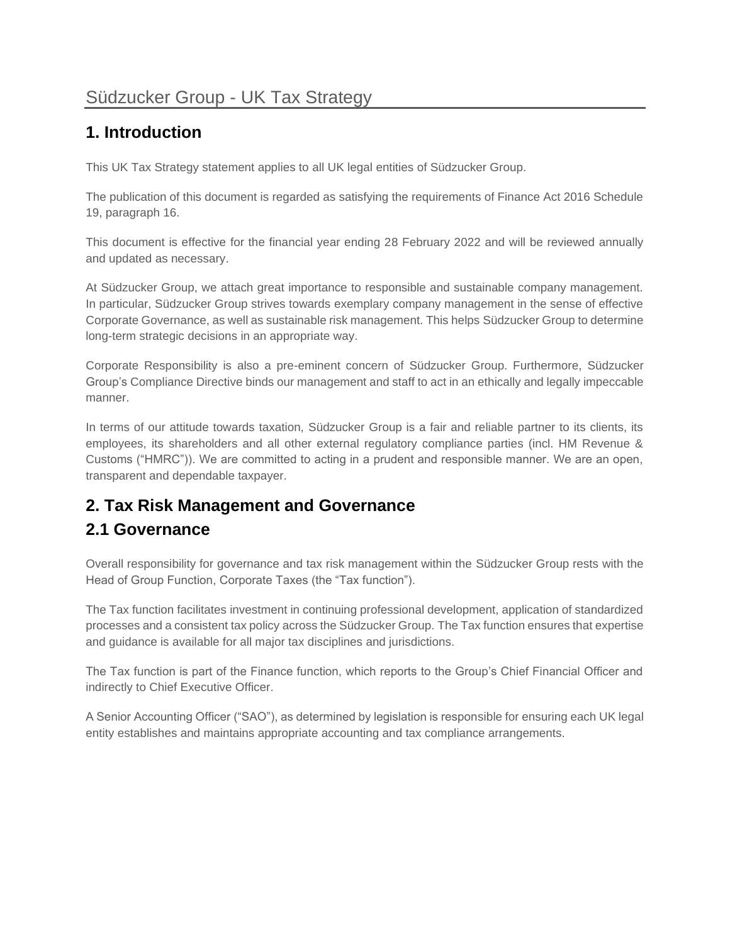# Südzucker Group - UK Tax Strategy

## **1. Introduction**

This UK Tax Strategy statement applies to all UK legal entities of Südzucker Group.

The publication of this document is regarded as satisfying the requirements of Finance Act 2016 Schedule 19, paragraph 16.

This document is effective for the financial year ending 28 February 2022 and will be reviewed annually and updated as necessary.

At Südzucker Group, we attach great importance to responsible and sustainable company management. In particular, Südzucker Group strives towards exemplary company management in the sense of effective Corporate Governance, as well as sustainable risk management. This helps Südzucker Group to determine long-term strategic decisions in an appropriate way.

Corporate Responsibility is also a pre-eminent concern of Südzucker Group. Furthermore, Südzucker Group's Compliance Directive binds our management and staff to act in an ethically and legally impeccable manner.

In terms of our attitude towards taxation, Südzucker Group is a fair and reliable partner to its clients, its employees, its shareholders and all other external regulatory compliance parties (incl. HM Revenue & Customs ("HMRC")). We are committed to acting in a prudent and responsible manner. We are an open, transparent and dependable taxpayer.

# **2. Tax Risk Management and Governance**

#### **2.1 Governance**

Overall responsibility for governance and tax risk management within the Südzucker Group rests with the Head of Group Function, Corporate Taxes (the "Tax function").

The Tax function facilitates investment in continuing professional development, application of standardized processes and a consistent tax policy across the Südzucker Group. The Tax function ensures that expertise and guidance is available for all major tax disciplines and jurisdictions.

The Tax function is part of the Finance function, which reports to the Group's Chief Financial Officer and indirectly to Chief Executive Officer.

A Senior Accounting Officer ("SAO"), as determined by legislation is responsible for ensuring each UK legal entity establishes and maintains appropriate accounting and tax compliance arrangements.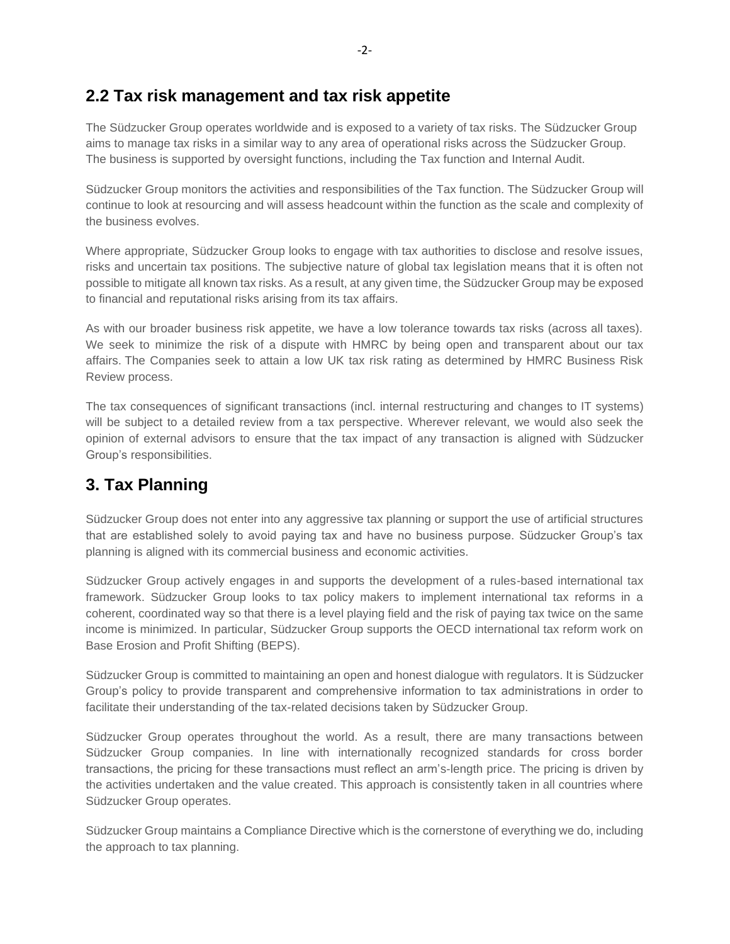#### **2.2 Tax risk management and tax risk appetite**

The Südzucker Group operates worldwide and is exposed to a variety of tax risks. The Südzucker Group aims to manage tax risks in a similar way to any area of operational risks across the Südzucker Group. The business is supported by oversight functions, including the Tax function and Internal Audit.

Südzucker Group monitors the activities and responsibilities of the Tax function. The Südzucker Group will continue to look at resourcing and will assess headcount within the function as the scale and complexity of the business evolves.

Where appropriate, Südzucker Group looks to engage with tax authorities to disclose and resolve issues, risks and uncertain tax positions. The subjective nature of global tax legislation means that it is often not possible to mitigate all known tax risks. As a result, at any given time, the Südzucker Group may be exposed to financial and reputational risks arising from its tax affairs.

As with our broader business risk appetite, we have a low tolerance towards tax risks (across all taxes). We seek to minimize the risk of a dispute with HMRC by being open and transparent about our tax affairs. The Companies seek to attain a low UK tax risk rating as determined by HMRC Business Risk Review process.

The tax consequences of significant transactions (incl. internal restructuring and changes to IT systems) will be subject to a detailed review from a tax perspective. Wherever relevant, we would also seek the opinion of external advisors to ensure that the tax impact of any transaction is aligned with Südzucker Group's responsibilities.

#### **3. Tax Planning**

Südzucker Group does not enter into any aggressive tax planning or support the use of artificial structures that are established solely to avoid paying tax and have no business purpose. Südzucker Group's tax planning is aligned with its commercial business and economic activities.

Südzucker Group actively engages in and supports the development of a rules-based international tax framework. Südzucker Group looks to tax policy makers to implement international tax reforms in a coherent, coordinated way so that there is a level playing field and the risk of paying tax twice on the same income is minimized. In particular, Südzucker Group supports the OECD international tax reform work on Base Erosion and Profit Shifting (BEPS).

Südzucker Group is committed to maintaining an open and honest dialogue with regulators. It is Südzucker Group's policy to provide transparent and comprehensive information to tax administrations in order to facilitate their understanding of the tax-related decisions taken by Südzucker Group.

Südzucker Group operates throughout the world. As a result, there are many transactions between Südzucker Group companies. In line with internationally recognized standards for cross border transactions, the pricing for these transactions must reflect an arm's-length price. The pricing is driven by the activities undertaken and the value created. This approach is consistently taken in all countries where Südzucker Group operates.

Südzucker Group maintains a Compliance Directive which is the cornerstone of everything we do, including the approach to tax planning.